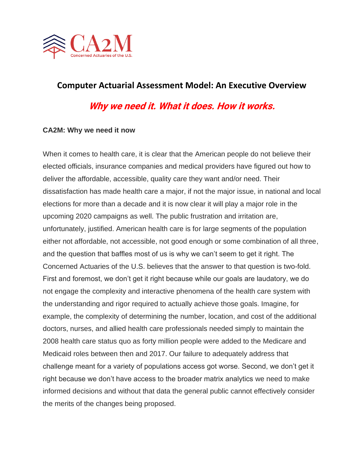

## **Computer Actuarial Assessment Model: An Executive Overview**

# **Why we need it. What it does. How it works.**

#### **CA2M: Why we need it now**

When it comes to health care, it is clear that the American people do not believe their elected officials, insurance companies and medical providers have figured out how to deliver the affordable, accessible, quality care they want and/or need. Their dissatisfaction has made health care a major, if not the major issue, in national and local elections for more than a decade and it is now clear it will play a major role in the upcoming 2020 campaigns as well. The public frustration and irritation are, unfortunately, justified. American health care is for large segments of the population either not affordable, not accessible, not good enough or some combination of all three, and the question that baffles most of us is why we can't seem to get it right. The Concerned Actuaries of the U.S. believes that the answer to that question is two-fold. First and foremost, we don't get it right because while our goals are laudatory, we do not engage the complexity and interactive phenomena of the health care system with the understanding and rigor required to actually achieve those goals. Imagine, for example, the complexity of determining the number, location, and cost of the additional doctors, nurses, and allied health care professionals needed simply to maintain the 2008 health care status quo as forty million people were added to the Medicare and Medicaid roles between then and 2017. Our failure to adequately address that challenge meant for a variety of populations access got worse. Second, we don't get it right because we don't have access to the broader matrix analytics we need to make informed decisions and without that data the general public cannot effectively consider the merits of the changes being proposed.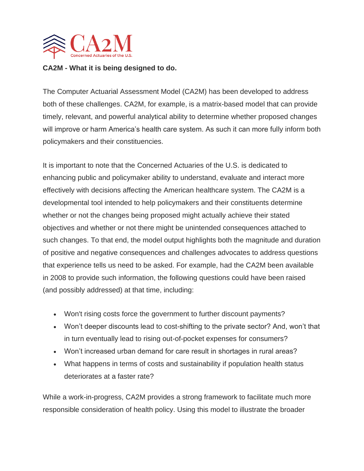

### **CA2M - What it is being designed to do.**

The Computer Actuarial Assessment Model (CA2M) has been developed to address both of these challenges. CA2M, for example, is a matrix-based model that can provide timely, relevant, and powerful analytical ability to determine whether proposed changes will improve or harm America's health care system. As such it can more fully inform both policymakers and their constituencies.

It is important to note that the Concerned Actuaries of the U.S. is dedicated to enhancing public and policymaker ability to understand, evaluate and interact more effectively with decisions affecting the American healthcare system. The CA2M is a developmental tool intended to help policymakers and their constituents determine whether or not the changes being proposed might actually achieve their stated objectives and whether or not there might be unintended consequences attached to such changes. To that end, the model output highlights both the magnitude and duration of positive and negative consequences and challenges advocates to address questions that experience tells us need to be asked. For example, had the CA2M been available in 2008 to provide such information, the following questions could have been raised (and possibly addressed) at that time, including:

- Won't rising costs force the government to further discount payments?
- Won't deeper discounts lead to cost-shifting to the private sector? And, won't that in turn eventually lead to rising out-of-pocket expenses for consumers?
- Won't increased urban demand for care result in shortages in rural areas?
- What happens in terms of costs and sustainability if population health status deteriorates at a faster rate?

While a work-in-progress, CA2M provides a strong framework to facilitate much more responsible consideration of health policy. Using this model to illustrate the broader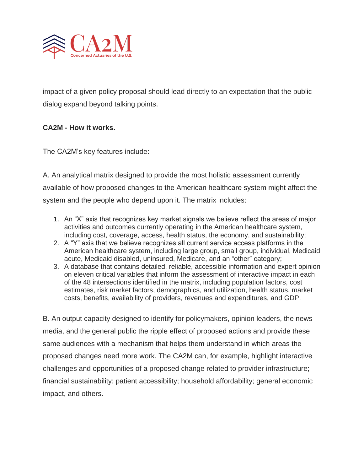

impact of a given policy proposal should lead directly to an expectation that the public dialog expand beyond talking points.

### **CA2M - How it works.**

The CA2M's key features include:

A. An analytical matrix designed to provide the most holistic assessment currently available of how proposed changes to the American healthcare system might affect the system and the people who depend upon it. The matrix includes:

- 1. An "X" axis that recognizes key market signals we believe reflect the areas of major activities and outcomes currently operating in the American healthcare system, including cost, coverage, access, health status, the economy, and sustainability;
- 2. A "Y" axis that we believe recognizes all current service access platforms in the American healthcare system, including large group, small group, individual, Medicaid acute, Medicaid disabled, uninsured, Medicare, and an "other" category;
- 3. A database that contains detailed, reliable, accessible information and expert opinion on eleven critical variables that inform the assessment of interactive impact in each of the 48 intersections identified in the matrix, including population factors, cost estimates, risk market factors, demographics, and utilization, health status, market costs, benefits, availability of providers, revenues and expenditures, and GDP.

B. An output capacity designed to identify for policymakers, opinion leaders, the news media, and the general public the ripple effect of proposed actions and provide these same audiences with a mechanism that helps them understand in which areas the proposed changes need more work. The CA2M can, for example, highlight interactive challenges and opportunities of a proposed change related to provider infrastructure; financial sustainability; patient accessibility; household affordability; general economic impact, and others.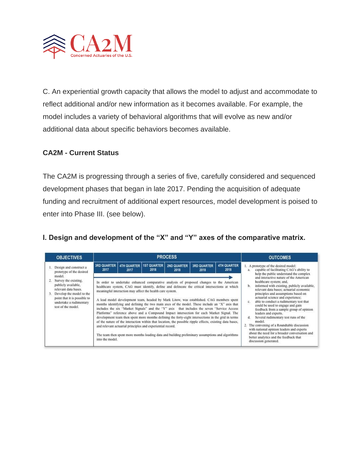

C. An experiential growth capacity that allows the model to adjust and accommodate to reflect additional and/or new information as it becomes available. For example, the model includes a variety of behavioral algorithms that will evolve as new and/or additional data about specific behaviors becomes available.

### **CA2M - Current Status**

The CA2M is progressing through a series of five, carefully considered and sequenced development phases that began in late 2017. Pending the acquisition of adequate funding and recruitment of additional expert resources, model development is poised to enter into Phase III. (see below).

### **I. Design and development of the "X" and "Y" axes of the comparative matrix.**

| <b>OBJECTIVES</b>                                                                                                                                                                                |                                                                                                                                                                                                                                                                                                                                                                                                                                                                                                                                                                                                                                                                                                                                                                                                                                                                                                                                                                                                                                                        |                            | <b>PROCESS</b>             | <b>OUTCOMES</b>            |                                                                                                                                                                                                                                                                                                                                                                                                                                                                                                                                                                                                                                                                                              |                            |                                                                                                                            |  |  |  |  |  |
|--------------------------------------------------------------------------------------------------------------------------------------------------------------------------------------------------|--------------------------------------------------------------------------------------------------------------------------------------------------------------------------------------------------------------------------------------------------------------------------------------------------------------------------------------------------------------------------------------------------------------------------------------------------------------------------------------------------------------------------------------------------------------------------------------------------------------------------------------------------------------------------------------------------------------------------------------------------------------------------------------------------------------------------------------------------------------------------------------------------------------------------------------------------------------------------------------------------------------------------------------------------------|----------------------------|----------------------------|----------------------------|----------------------------------------------------------------------------------------------------------------------------------------------------------------------------------------------------------------------------------------------------------------------------------------------------------------------------------------------------------------------------------------------------------------------------------------------------------------------------------------------------------------------------------------------------------------------------------------------------------------------------------------------------------------------------------------------|----------------------------|----------------------------------------------------------------------------------------------------------------------------|--|--|--|--|--|
| Design and construct a<br>prototype of the desired                                                                                                                                               | <b>3RD QUARTER</b><br>2017                                                                                                                                                                                                                                                                                                                                                                                                                                                                                                                                                                                                                                                                                                                                                                                                                                                                                                                                                                                                                             | <b>4TH QUARTER</b><br>2017 | <b>1ST QUARTER</b><br>2018 | <b>2ND QUARTER</b><br>2018 | <b>3RD QUARTER</b><br>2018                                                                                                                                                                                                                                                                                                                                                                                                                                                                                                                                                                                                                                                                   | <b>4TH QUARTER</b><br>2018 | 1. A prototype of the desired model:<br>capable of facilitating CAG's ability to<br>help the public understand the complex |  |  |  |  |  |
| model.<br>Survey the existing,<br>publicly available,<br>relevant data bases.<br>Develop the model to the<br>3.<br>point that it is possible to<br>undertake a rudimentary<br>test of the model. | In order to undertake enhanced comparative analysis of proposed changes to the American<br>healthcare system, CAG must identify, define and delineate the critical intersections at which<br>meaningful interaction may affect the health care system.<br>A lead model development team, headed by Mark Litow, was established. CAG members spent<br>months identifying and defining the two main axes of the model. These include an "X" axis that<br>includes the six "Market Signals" and the "Y" axis that includes the seven "Service Access<br>Platforms" reference above and a Compound Impact intersection for each Market Signal. The<br>development team then spent more months defining the forty-eight intersections in the grid in terms<br>of the nature of the interaction within that location, the possible ripple effects, existing data bases,<br>and relevant actuarial principles and experiential record.<br>The team then spent more months loading data and building preliminary assumptions and algorithms<br>into the model. |                            |                            |                            | and interactive nature of the American<br>healthcare system; and,<br>informed with existing, publicly available,<br>relevant data bases; actuarial economic<br>principles and assumptions based on<br>actuarial science and experience;<br>able to conduct a rudimentary test that<br>$\mathcal{C}$<br>could be used to engage and gain<br>feedback from a sample group of opinion<br>leaders and experts.<br>Several rudimentary test runs of the<br>$\mathbf{d}$<br>model.<br>2. The convening of a Roundtable discussion<br>with national opinion leaders and experts<br>about the need for a broader conversation and<br>better analytics and the feedback that<br>discussion generated. |                            |                                                                                                                            |  |  |  |  |  |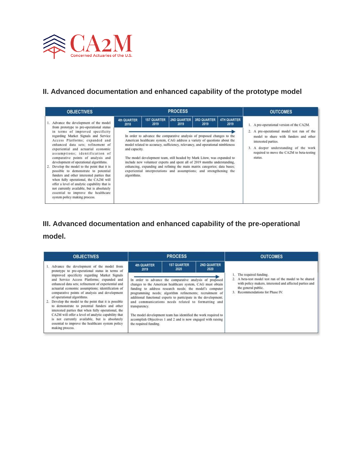

### **II. Advanced documentation and enhanced capability of the prototype model**

| <b>OBJECTIVES</b>                                                                                                                                                                                                                                                                                                                                                                                                                                                                                                                                                                                                                                                     |                                                     |                            | <b>OUTCOMES</b>                                                                                                                                                                                                                                                                                                                                                                                                                                                                                                                                                                                  |                            |                            |                                                                                                                                                                                                                                                             |
|-----------------------------------------------------------------------------------------------------------------------------------------------------------------------------------------------------------------------------------------------------------------------------------------------------------------------------------------------------------------------------------------------------------------------------------------------------------------------------------------------------------------------------------------------------------------------------------------------------------------------------------------------------------------------|-----------------------------------------------------|----------------------------|--------------------------------------------------------------------------------------------------------------------------------------------------------------------------------------------------------------------------------------------------------------------------------------------------------------------------------------------------------------------------------------------------------------------------------------------------------------------------------------------------------------------------------------------------------------------------------------------------|----------------------------|----------------------------|-------------------------------------------------------------------------------------------------------------------------------------------------------------------------------------------------------------------------------------------------------------|
| Advance the development of the model<br>from prototype to pre-operational status<br>in terms of improved specificity<br>regarding Market Signals and Service<br>Access Platforms: expanded and<br>enhanced data sets; refinement of<br>experiential and actuarial economic<br>assumptions; identification of<br>comparative points of analysis and<br>development of operational algorithms.<br>Develop the model to the point that it is<br>possible to demonstrate to potential<br>funders and other interested parties that<br>when fully operational, the CA2M will<br>offer a level of analytic capability that is<br>not currently available, but is absolutely | 4th QUARTER<br>2018<br>and capacity.<br>algorithms. | <b>1ST QUARTER</b><br>2019 | <b>PROCESS</b><br><b>2ND QUARTER</b><br>2019<br>In order to advance the comparative analysis of proposed changes to the<br>American healthcare system, CAG address a variety of questions about the<br>model related to accuracy, sufficiency, relevancy, and operational nimbleness<br>The model development team, still headed by Mark Litow, was expanded to<br>include new volunteer experts and spent all of 2019 months understanding,<br>enhancing, expanding and refining the main matrix categories; data bases;<br>experiential interpretations and assumptions; and strengthening the | <b>3RD QUARTER</b><br>2019 | <b>4TH QUARTER</b><br>2019 | 1. A pre-operational version of the CA2M.<br>2. A pre-operational model test run of the<br>model to share with funders and other<br>interested parties.<br>A deeper understanding of the work<br>3.<br>required to move the CA2M to beta-testing<br>status. |

## **III. Advanced documentation and enhanced capability of the pre-operational**

### **model.**

| <b>OBJECTIVES</b>                                                                                                                                                                                                                                                                                                                                                                                                                                                                                                                                                                                                                    |                                        | <b>PROCESS</b>                                                                                                                                                                                                                                                                                                                                                                                                                                                                                             |                            | <b>OUTCOMES</b>                                                                                                                                                                                           |  |  |  |  |
|--------------------------------------------------------------------------------------------------------------------------------------------------------------------------------------------------------------------------------------------------------------------------------------------------------------------------------------------------------------------------------------------------------------------------------------------------------------------------------------------------------------------------------------------------------------------------------------------------------------------------------------|----------------------------------------|------------------------------------------------------------------------------------------------------------------------------------------------------------------------------------------------------------------------------------------------------------------------------------------------------------------------------------------------------------------------------------------------------------------------------------------------------------------------------------------------------------|----------------------------|-----------------------------------------------------------------------------------------------------------------------------------------------------------------------------------------------------------|--|--|--|--|
| Advance the development of the model from<br>prototype to pre-operational status in terms of                                                                                                                                                                                                                                                                                                                                                                                                                                                                                                                                         | 4th QUARTER<br>2019                    | <b>1ST QUARTER</b><br>2020                                                                                                                                                                                                                                                                                                                                                                                                                                                                                 | <b>2ND QUARTER</b><br>2020 |                                                                                                                                                                                                           |  |  |  |  |
| improved specificity regarding Market Signals<br>and Service Access Platforms; expanded and<br>enhanced data sets; refinement of experiential and<br>actuarial economic assumptions; identification of<br>comparative points of analysis and development<br>of operational algorithms.<br>Develop the model to the point that it is possible<br>to demonstrate to potential funders and other<br>interested parties that when fully operational, the<br>CA2M will offer a level of analytic capability that<br>is not currently available, but is absolutely<br>essential to improve the healthcare system policy<br>making process. | transparency.<br>the required funding. | In order to advance the comparative analysis of proposed<br>changes to the American healthcare system, CAG must obtain<br>funding to address research needs; the model's computer<br>programming needs; algorithm refinements; recruitment of<br>additional functional experts to participate in the development;<br>and communications needs related to formatting and<br>The model development team has identified the work required to<br>accomplish Objectives 1 and 2 and is now engaged with raising |                            | 1. The required funding.<br>2. A beta-test model test run of the model to be shared<br>with policy makers, interested and affected parties and<br>the general public.<br>3. Recommendations for Phase IV. |  |  |  |  |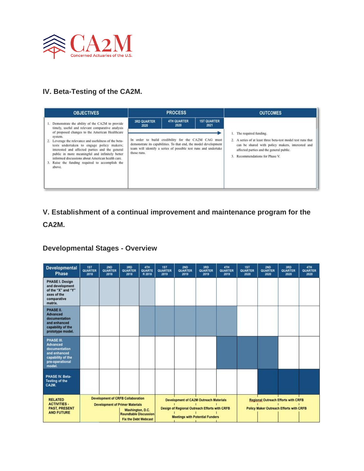

## **IV. Beta-Testing of the CA2M.**

| <b>OBJECTIVES</b>                                                                                                                                                                                                                                                                                                              |                            | <b>PROCESS</b>                                                                                                                                                                             |                            | <b>OUTCOMES</b>                                                                                                                                                                                 |  |  |  |
|--------------------------------------------------------------------------------------------------------------------------------------------------------------------------------------------------------------------------------------------------------------------------------------------------------------------------------|----------------------------|--------------------------------------------------------------------------------------------------------------------------------------------------------------------------------------------|----------------------------|-------------------------------------------------------------------------------------------------------------------------------------------------------------------------------------------------|--|--|--|
| 1. Demonstrate the ability of the CA2M to provide<br>timely, useful and relevant comparative analysis<br>of proposed changes to the American Healthcare                                                                                                                                                                        | <b>3RD QUARTER</b><br>2020 | <b>4TH QUARTER</b><br>2020                                                                                                                                                                 | <b>1ST QUARTER</b><br>2021 | 1. The required funding.                                                                                                                                                                        |  |  |  |
| system.<br>Leverage the relevance and usefulness of the beta-<br>tests undertaken to engage policy makers;<br>interested and affected parties and the general<br>public in more meaningful and infinitely better<br>informed discussions about American health care.<br>Raise the funding required to accomplish the<br>above. | those runs.                | In order to build credibility for the CA2M CAG must<br>demonstrate its capabilities. To that end, the model development<br>team will identify a series of possible test runs and undertake |                            | 2. A series of at least three beta-test model test runs that<br>can be shared with policy makers, interested and<br>affected parties and the general public.<br>3. Recommendations for Phase V. |  |  |  |

# **V. Establishment of a continual improvement and maintenance program for the CA2M.**

### **Developmental Stages - Overview**

| <b>Developmental</b><br><b>Phase</b>                                                                             | <b>1ST</b><br><b>QUARTER</b><br>2018                                                                                                                                  | <b>2ND</b><br><b>QUARTER</b><br>2018 | 3RD<br>QUARTER<br>2018 | 4TH<br><b>QUARTE</b><br>R 2018 | 1ST<br>QUARTER<br>2019                                                                                                                                                                                                      | 2ND<br>QUARTER<br>2019 | 3RD<br><b>QUARTER</b><br>2019 | 4TH<br><b>QUARTER</b><br>2019 | 1ST<br>QUARTER<br>2020                                                                       | 2ND<br>QUARTER<br>2020 | 3RD<br><b>QUARTER</b><br>2020 | 4TH<br><b>QUARTER</b><br>2020 |
|------------------------------------------------------------------------------------------------------------------|-----------------------------------------------------------------------------------------------------------------------------------------------------------------------|--------------------------------------|------------------------|--------------------------------|-----------------------------------------------------------------------------------------------------------------------------------------------------------------------------------------------------------------------------|------------------------|-------------------------------|-------------------------------|----------------------------------------------------------------------------------------------|------------------------|-------------------------------|-------------------------------|
| PHASE I. Design<br>and development<br>of the "X" and "Y"<br>axes of the<br>comparative<br>matrix.                |                                                                                                                                                                       |                                      |                        |                                |                                                                                                                                                                                                                             |                        |                               |                               |                                                                                              |                        |                               |                               |
| PHASE II.<br><b>Advanced</b><br>documentation<br>and enhanced<br>capability of the<br>prototype model.           |                                                                                                                                                                       |                                      |                        |                                |                                                                                                                                                                                                                             |                        |                               |                               |                                                                                              |                        |                               |                               |
| PHASE III.<br><b>Advanced</b><br>documentation<br>and enhanced<br>capability of the<br>pre-operational<br>model. |                                                                                                                                                                       |                                      |                        |                                |                                                                                                                                                                                                                             |                        |                               |                               |                                                                                              |                        |                               |                               |
| PHASE IV. Beta-<br><b>Testing of the</b><br>CA2M.                                                                |                                                                                                                                                                       |                                      |                        |                                |                                                                                                                                                                                                                             |                        |                               |                               |                                                                                              |                        |                               |                               |
| <b>RELATED</b><br><b>ACTIVITIES -</b><br><b>PAST, PRESENT</b><br><b>AND FUTURE</b>                               | <b>Development of CRFB Collaboration</b><br><b>Development of Primer Materials</b><br>Washington, D.C.<br><b>Roundtable Discussion</b><br><b>Fix the Debt Webcast</b> |                                      |                        |                                | <b>Development of CA2M Outreach Materials</b><br>Design of Regional Outreach Efforts with CRFB<br><b>Meetings with Potential Funders</b><br>the contract of the contract of the contract of the contract of the contract of |                        |                               |                               | <b>Regional Outreach Efforts with CRFB</b><br><b>Policy Maker Outreach Efforts with CRFB</b> |                        |                               |                               |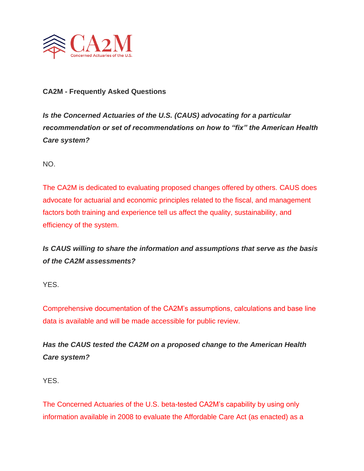

### **CA2M - Frequently Asked Questions**

*Is the Concerned Actuaries of the U.S. (CAUS) advocating for a particular recommendation or set of recommendations on how to "fix" the American Health Care system?*

NO.

The CA2M is dedicated to evaluating proposed changes offered by others. CAUS does advocate for actuarial and economic principles related to the fiscal, and management factors both training and experience tell us affect the quality, sustainability, and efficiency of the system.

*Is CAUS willing to share the information and assumptions that serve as the basis of the CA2M assessments?*

YES.

Comprehensive documentation of the CA2M's assumptions, calculations and base line data is available and will be made accessible for public review.

*Has the CAUS tested the CA2M on a proposed change to the American Health Care system?*

YES.

The Concerned Actuaries of the U.S. beta-tested CA2M's capability by using only information available in 2008 to evaluate the Affordable Care Act (as enacted) as a